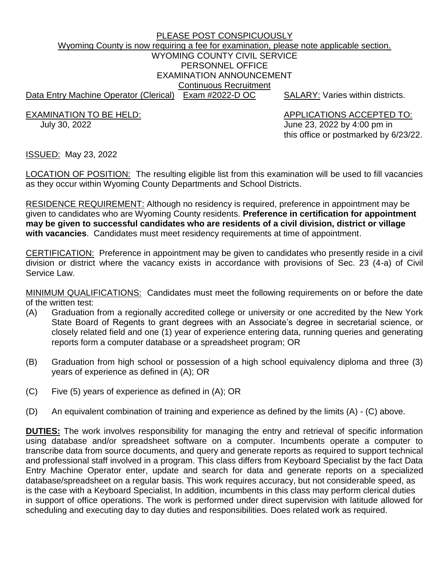# PLEASE POST CONSPICUOUSLY Wyoming County is now requiring a fee for examination, please note applicable section. WYOMING COUNTY CIVIL SERVICE PERSONNEL OFFICE EXAMINATION ANNOUNCEMENT Continuous Recruitment Data Entry Machine Operator (Clerical) Exam #2022-D OC SALARY: Varies within districts.

EXAMINATION TO BE HELD: APPLICATIONS ACCEPTED TO:

 July 30, 2022 June 23, 2022 by 4:00 pm in this office or postmarked by 6/23/22.

ISSUED: May 23, 2022

LOCATION OF POSITION: The resulting eligible list from this examination will be used to fill vacancies as they occur within Wyoming County Departments and School Districts.

RESIDENCE REQUIREMENT: Although no residency is required, preference in appointment may be given to candidates who are Wyoming County residents. **Preference in certification for appointment may be given to successful candidates who are residents of a civil division, district or village with vacancies**. Candidates must meet residency requirements at time of appointment.

CERTIFICATION: Preference in appointment may be given to candidates who presently reside in a civil division or district where the vacancy exists in accordance with provisions of Sec. 23 (4-a) of Civil Service Law.

MINIMUM QUALIFICATIONS: Candidates must meet the following requirements on or before the date of the written test:

- (A) Graduation from a regionally accredited college or university or one accredited by the New York State Board of Regents to grant degrees with an Associate's degree in secretarial science, or closely related field and one (1) year of experience entering data, running queries and generating reports form a computer database or a spreadsheet program; OR
- (B) Graduation from high school or possession of a high school equivalency diploma and three (3) years of experience as defined in (A); OR
- (C) Five (5) years of experience as defined in (A); OR
- (D) An equivalent combination of training and experience as defined by the limits (A) (C) above.

**DUTIES:** The work involves responsibility for managing the entry and retrieval of specific information using database and/or spreadsheet software on a computer. Incumbents operate a computer to transcribe data from source documents, and query and generate reports as required to support technical and professional staff involved in a program. This class differs from Keyboard Specialist by the fact Data Entry Machine Operator enter, update and search for data and generate reports on a specialized database/spreadsheet on a regular basis. This work requires accuracy, but not considerable speed, as is the case with a Keyboard Specialist, In addition, incumbents in this class may perform clerical duties in support of office operations. The work is performed under direct supervision with latitude allowed for scheduling and executing day to day duties and responsibilities. Does related work as required.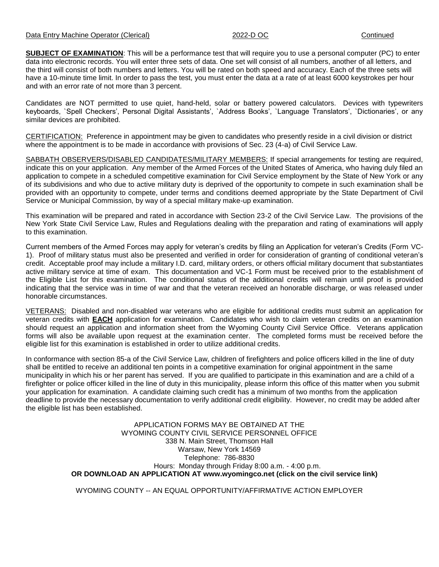**SUBJECT OF EXAMINATION:** This will be a performance test that will require you to use a personal computer (PC) to enter data into electronic records. You will enter three sets of data. One set will consist of all numbers, another of all letters, and the third will consist of both numbers and letters. You will be rated on both speed and accuracy. Each of the three sets will have a 10-minute time limit. In order to pass the test, you must enter the data at a rate of at least 6000 keystrokes per hour and with an error rate of not more than 3 percent.

Candidates are NOT permitted to use quiet, hand-held, solar or battery powered calculators. Devices with typewriters keyboards, `Spell Checkers', Personal Digital Assistants', `Address Books', `Language Translators', `Dictionaries', or any similar devices are prohibited.

CERTIFICATION: Preference in appointment may be given to candidates who presently reside in a civil division or district where the appointment is to be made in accordance with provisions of Sec. 23 (4-a) of Civil Service Law.

SABBATH OBSERVERS/DISABLED CANDIDATES/MILITARY MEMBERS: If special arrangements for testing are required, indicate this on your application. Any member of the Armed Forces of the United States of America, who having duly filed an application to compete in a scheduled competitive examination for Civil Service employment by the State of New York or any of its subdivisions and who due to active military duty is deprived of the opportunity to compete in such examination shall be provided with an opportunity to compete, under terms and conditions deemed appropriate by the State Department of Civil Service or Municipal Commission, by way of a special military make-up examination.

This examination will be prepared and rated in accordance with Section 23-2 of the Civil Service Law. The provisions of the New York State Civil Service Law, Rules and Regulations dealing with the preparation and rating of examinations will apply to this examination.

Current members of the Armed Forces may apply for veteran's credits by filing an Application for veteran's Credits (Form VC-1). Proof of military status must also be presented and verified in order for consideration of granting of conditional veteran's credit. Acceptable proof may include a military I.D. card, military orders, or others official military document that substantiates active military service at time of exam. This documentation and VC-1 Form must be received prior to the establishment of the Eligible List for this examination. The conditional status of the additional credits will remain until proof is provided indicating that the service was in time of war and that the veteran received an honorable discharge, or was released under honorable circumstances.

VETERANS: Disabled and non-disabled war veterans who are eligible for additional credits must submit an application for veteran credits with **EACH** application for examination. Candidates who wish to claim veteran credits on an examination should request an application and information sheet from the Wyoming County Civil Service Office. Veterans application forms will also be available upon request at the examination center. The completed forms must be received before the eligible list for this examination is established in order to utilize additional credits.

In conformance with section 85-a of the Civil Service Law, children of firefighters and police officers killed in the line of duty shall be entitled to receive an additional ten points in a competitive examination for original appointment in the same municipality in which his or her parent has served. If you are qualified to participate in this examination and are a child of a firefighter or police officer killed in the line of duty in this municipality, please inform this office of this matter when you submit your application for examination. A candidate claiming such credit has a minimum of two months from the application deadline to provide the necessary documentation to verify additional credit eligibility. However, no credit may be added after the eligible list has been established.

> APPLICATION FORMS MAY BE OBTAINED AT THE WYOMING COUNTY CIVIL SERVICE PERSONNEL OFFICE 338 N. Main Street, Thomson Hall Warsaw, New York 14569 Telephone: 786-8830 Hours: Monday through Friday 8:00 a.m. - 4:00 p.m. **OR DOWNLOAD AN APPLICATION AT www.wyomingco.net (click on the civil service link)**

WYOMING COUNTY -- AN EQUAL OPPORTUNITY/AFFIRMATIVE ACTION EMPLOYER